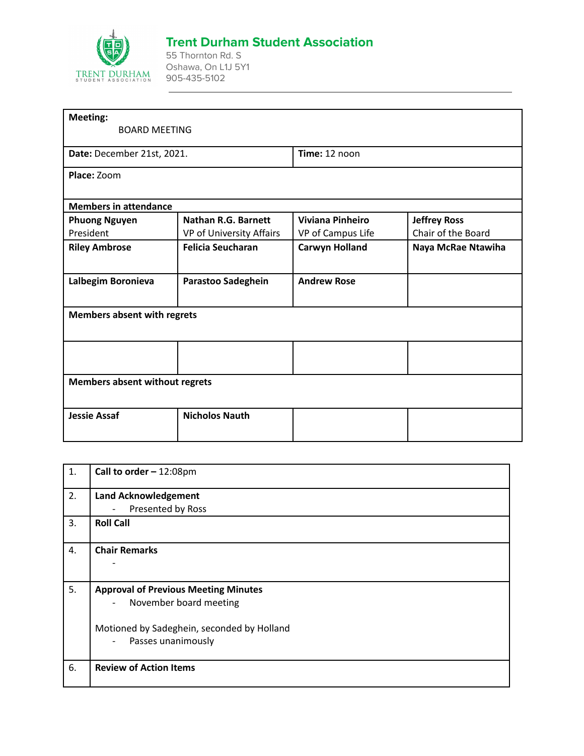

## **Trent Durham Student Association**

55 Thornton Rd. S Oshawa, On L1J 5Y1 905-435-5102

| <b>Meeting:</b>                       |                            |                         |                     |
|---------------------------------------|----------------------------|-------------------------|---------------------|
| <b>BOARD MEETING</b>                  |                            |                         |                     |
| Date: December 21st, 2021.            |                            | Time: 12 noon           |                     |
| Place: Zoom                           |                            |                         |                     |
|                                       |                            |                         |                     |
| <b>Members in attendance</b>          |                            |                         |                     |
| <b>Phuong Nguyen</b>                  | <b>Nathan R.G. Barnett</b> | <b>Viviana Pinheiro</b> | <b>Jeffrey Ross</b> |
| President                             | VP of University Affairs   | VP of Campus Life       | Chair of the Board  |
| <b>Riley Ambrose</b>                  | <b>Felicia Seucharan</b>   | <b>Carwyn Holland</b>   | Naya McRae Ntawiha  |
|                                       |                            |                         |                     |
| Lalbegim Boronieva                    | Parastoo Sadeghein         | <b>Andrew Rose</b>      |                     |
|                                       |                            |                         |                     |
| <b>Members absent with regrets</b>    |                            |                         |                     |
|                                       |                            |                         |                     |
|                                       |                            |                         |                     |
|                                       |                            |                         |                     |
| <b>Members absent without regrets</b> |                            |                         |                     |
|                                       |                            |                         |                     |
| <b>Jessie Assaf</b>                   | <b>Nicholos Nauth</b>      |                         |                     |
|                                       |                            |                         |                     |
|                                       |                            |                         |                     |

| 1. | Call to order $-12:08 \text{pm}$                   |
|----|----------------------------------------------------|
| 2. | <b>Land Acknowledgement</b>                        |
|    | Presented by Ross<br>$\overline{\phantom{a}}$      |
| 3. | <b>Roll Call</b>                                   |
| 4. | <b>Chair Remarks</b>                               |
|    |                                                    |
| 5. | <b>Approval of Previous Meeting Minutes</b>        |
|    | November board meeting<br>$\overline{\phantom{a}}$ |
|    | Motioned by Sadeghein, seconded by Holland         |
|    | Passes unanimously<br>$\overline{\phantom{a}}$     |
| 6. | <b>Review of Action Items</b>                      |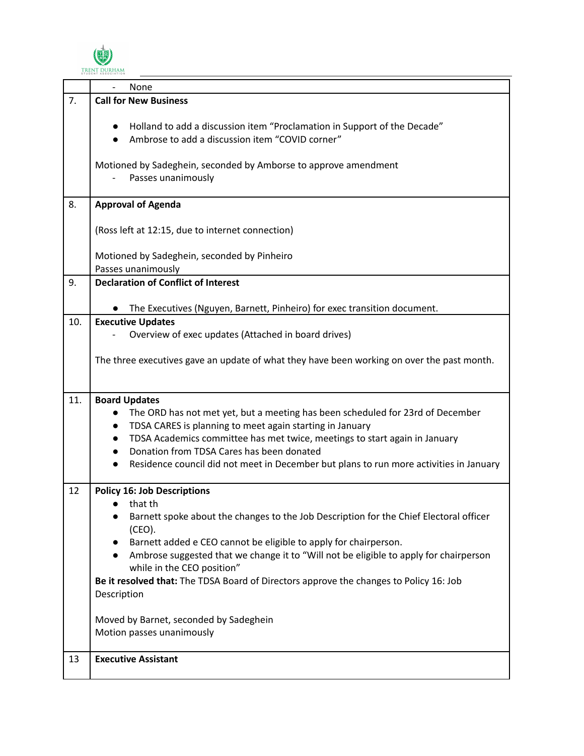

|     | None                                                                                                                                                                                                                              |
|-----|-----------------------------------------------------------------------------------------------------------------------------------------------------------------------------------------------------------------------------------|
| 7.  | <b>Call for New Business</b>                                                                                                                                                                                                      |
|     | Holland to add a discussion item "Proclamation in Support of the Decade"<br>$\bullet$<br>Ambrose to add a discussion item "COVID corner"<br>Motioned by Sadeghein, seconded by Amborse to approve amendment<br>Passes unanimously |
|     |                                                                                                                                                                                                                                   |
| 8.  | <b>Approval of Agenda</b>                                                                                                                                                                                                         |
|     | (Ross left at 12:15, due to internet connection)                                                                                                                                                                                  |
|     | Motioned by Sadeghein, seconded by Pinheiro                                                                                                                                                                                       |
|     | Passes unanimously<br><b>Declaration of Conflict of Interest</b>                                                                                                                                                                  |
| 9.  |                                                                                                                                                                                                                                   |
|     | The Executives (Nguyen, Barnett, Pinheiro) for exec transition document.                                                                                                                                                          |
| 10. | <b>Executive Updates</b>                                                                                                                                                                                                          |
|     | Overview of exec updates (Attached in board drives)                                                                                                                                                                               |
|     | The three executives gave an update of what they have been working on over the past month.                                                                                                                                        |
| 11. | <b>Board Updates</b>                                                                                                                                                                                                              |
|     | The ORD has not met yet, but a meeting has been scheduled for 23rd of December                                                                                                                                                    |
|     | TDSA CARES is planning to meet again starting in January                                                                                                                                                                          |
|     | TDSA Academics committee has met twice, meetings to start again in January                                                                                                                                                        |
|     | Donation from TDSA Cares has been donated                                                                                                                                                                                         |
|     | Residence council did not meet in December but plans to run more activities in January<br>$\bullet$                                                                                                                               |
| 12  | <b>Policy 16: Job Descriptions</b>                                                                                                                                                                                                |
|     | $\bullet$ that the                                                                                                                                                                                                                |
|     | Barnett spoke about the changes to the Job Description for the Chief Electoral officer                                                                                                                                            |
|     | (CEO).<br>Barnett added e CEO cannot be eligible to apply for chairperson.                                                                                                                                                        |
|     | Ambrose suggested that we change it to "Will not be eligible to apply for chairperson<br>while in the CEO position"                                                                                                               |
|     | Be it resolved that: The TDSA Board of Directors approve the changes to Policy 16: Job                                                                                                                                            |
|     | Description                                                                                                                                                                                                                       |
|     | Moved by Barnet, seconded by Sadeghein                                                                                                                                                                                            |
|     | Motion passes unanimously                                                                                                                                                                                                         |
|     |                                                                                                                                                                                                                                   |
| 13  | <b>Executive Assistant</b>                                                                                                                                                                                                        |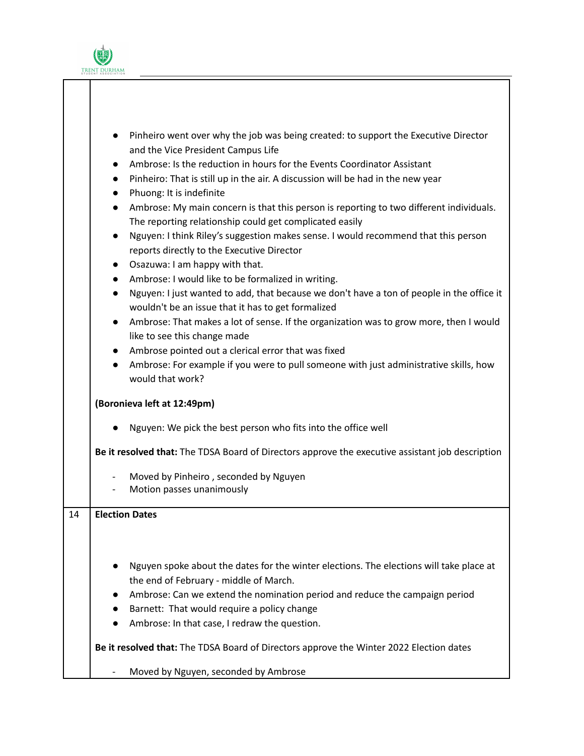

|    | Pinheiro went over why the job was being created: to support the Executive Director                                                                          |
|----|--------------------------------------------------------------------------------------------------------------------------------------------------------------|
|    | and the Vice President Campus Life                                                                                                                           |
|    | Ambrose: Is the reduction in hours for the Events Coordinator Assistant<br>$\bullet$                                                                         |
|    | Pinheiro: That is still up in the air. A discussion will be had in the new year<br>$\bullet$                                                                 |
|    | Phuong: It is indefinite<br>$\bullet$                                                                                                                        |
|    | Ambrose: My main concern is that this person is reporting to two different individuals.<br>$\bullet$                                                         |
|    | The reporting relationship could get complicated easily                                                                                                      |
|    | Nguyen: I think Riley's suggestion makes sense. I would recommend that this person<br>$\bullet$<br>reports directly to the Executive Director                |
|    | Osazuwa: I am happy with that.<br>$\bullet$                                                                                                                  |
|    | Ambrose: I would like to be formalized in writing.<br>$\bullet$                                                                                              |
|    | Nguyen: I just wanted to add, that because we don't have a ton of people in the office it<br>$\bullet$<br>wouldn't be an issue that it has to get formalized |
|    | Ambrose: That makes a lot of sense. If the organization was to grow more, then I would<br>$\bullet$<br>like to see this change made                          |
|    | Ambrose pointed out a clerical error that was fixed<br>$\bullet$                                                                                             |
|    | Ambrose: For example if you were to pull someone with just administrative skills, how<br>$\bullet$                                                           |
|    | would that work?                                                                                                                                             |
|    | (Boronieva left at 12:49pm)                                                                                                                                  |
|    | Nguyen: We pick the best person who fits into the office well                                                                                                |
|    | Be it resolved that: The TDSA Board of Directors approve the executive assistant job description                                                             |
|    | Moved by Pinheiro, seconded by Nguyen<br>$\overline{\phantom{a}}$                                                                                            |
|    | Motion passes unanimously                                                                                                                                    |
|    |                                                                                                                                                              |
| 14 | <b>Election Dates</b>                                                                                                                                        |
|    |                                                                                                                                                              |
|    |                                                                                                                                                              |
|    |                                                                                                                                                              |
|    | Nguyen spoke about the dates for the winter elections. The elections will take place at                                                                      |
|    | the end of February - middle of March.                                                                                                                       |
|    | Ambrose: Can we extend the nomination period and reduce the campaign period                                                                                  |
|    | Barnett: That would require a policy change<br>$\bullet$                                                                                                     |
|    | Ambrose: In that case, I redraw the question.                                                                                                                |
|    | Be it resolved that: The TDSA Board of Directors approve the Winter 2022 Election dates                                                                      |
|    | Moved by Nguyen, seconded by Ambrose<br>$\overline{\phantom{a}}$                                                                                             |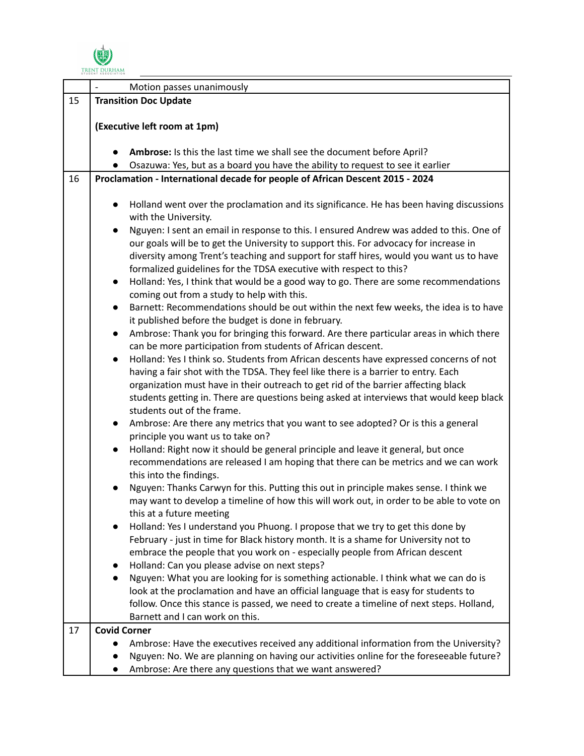

|    | Motion passes unanimously                                                                                                                                                                                                                                                                                                                                                                                                                                                                                                                                                                                                                                                                                                                                                                                                                                                                                                                                                                                                                                                                                                                                                                                                                                                                                                                                                                                                                                                                                                                                                                                                                                                                                                                                                                                                                                                                                                                                                                                                                                                                                                                                                                                                                                                   |  |
|----|-----------------------------------------------------------------------------------------------------------------------------------------------------------------------------------------------------------------------------------------------------------------------------------------------------------------------------------------------------------------------------------------------------------------------------------------------------------------------------------------------------------------------------------------------------------------------------------------------------------------------------------------------------------------------------------------------------------------------------------------------------------------------------------------------------------------------------------------------------------------------------------------------------------------------------------------------------------------------------------------------------------------------------------------------------------------------------------------------------------------------------------------------------------------------------------------------------------------------------------------------------------------------------------------------------------------------------------------------------------------------------------------------------------------------------------------------------------------------------------------------------------------------------------------------------------------------------------------------------------------------------------------------------------------------------------------------------------------------------------------------------------------------------------------------------------------------------------------------------------------------------------------------------------------------------------------------------------------------------------------------------------------------------------------------------------------------------------------------------------------------------------------------------------------------------------------------------------------------------------------------------------------------------|--|
| 15 | <b>Transition Doc Update</b>                                                                                                                                                                                                                                                                                                                                                                                                                                                                                                                                                                                                                                                                                                                                                                                                                                                                                                                                                                                                                                                                                                                                                                                                                                                                                                                                                                                                                                                                                                                                                                                                                                                                                                                                                                                                                                                                                                                                                                                                                                                                                                                                                                                                                                                |  |
|    |                                                                                                                                                                                                                                                                                                                                                                                                                                                                                                                                                                                                                                                                                                                                                                                                                                                                                                                                                                                                                                                                                                                                                                                                                                                                                                                                                                                                                                                                                                                                                                                                                                                                                                                                                                                                                                                                                                                                                                                                                                                                                                                                                                                                                                                                             |  |
|    | (Executive left room at 1pm)                                                                                                                                                                                                                                                                                                                                                                                                                                                                                                                                                                                                                                                                                                                                                                                                                                                                                                                                                                                                                                                                                                                                                                                                                                                                                                                                                                                                                                                                                                                                                                                                                                                                                                                                                                                                                                                                                                                                                                                                                                                                                                                                                                                                                                                |  |
|    |                                                                                                                                                                                                                                                                                                                                                                                                                                                                                                                                                                                                                                                                                                                                                                                                                                                                                                                                                                                                                                                                                                                                                                                                                                                                                                                                                                                                                                                                                                                                                                                                                                                                                                                                                                                                                                                                                                                                                                                                                                                                                                                                                                                                                                                                             |  |
|    | Ambrose: Is this the last time we shall see the document before April?                                                                                                                                                                                                                                                                                                                                                                                                                                                                                                                                                                                                                                                                                                                                                                                                                                                                                                                                                                                                                                                                                                                                                                                                                                                                                                                                                                                                                                                                                                                                                                                                                                                                                                                                                                                                                                                                                                                                                                                                                                                                                                                                                                                                      |  |
|    | Osazuwa: Yes, but as a board you have the ability to request to see it earlier                                                                                                                                                                                                                                                                                                                                                                                                                                                                                                                                                                                                                                                                                                                                                                                                                                                                                                                                                                                                                                                                                                                                                                                                                                                                                                                                                                                                                                                                                                                                                                                                                                                                                                                                                                                                                                                                                                                                                                                                                                                                                                                                                                                              |  |
| 16 | Proclamation - International decade for people of African Descent 2015 - 2024                                                                                                                                                                                                                                                                                                                                                                                                                                                                                                                                                                                                                                                                                                                                                                                                                                                                                                                                                                                                                                                                                                                                                                                                                                                                                                                                                                                                                                                                                                                                                                                                                                                                                                                                                                                                                                                                                                                                                                                                                                                                                                                                                                                               |  |
|    | Holland went over the proclamation and its significance. He has been having discussions<br>with the University.<br>Nguyen: I sent an email in response to this. I ensured Andrew was added to this. One of<br>our goals will be to get the University to support this. For advocacy for increase in<br>diversity among Trent's teaching and support for staff hires, would you want us to have<br>formalized guidelines for the TDSA executive with respect to this?<br>Holland: Yes, I think that would be a good way to go. There are some recommendations<br>$\bullet$<br>coming out from a study to help with this.<br>Barnett: Recommendations should be out within the next few weeks, the idea is to have<br>$\bullet$<br>it published before the budget is done in february.<br>Ambrose: Thank you for bringing this forward. Are there particular areas in which there<br>$\bullet$<br>can be more participation from students of African descent.<br>Holland: Yes I think so. Students from African descents have expressed concerns of not<br>$\bullet$<br>having a fair shot with the TDSA. They feel like there is a barrier to entry. Each<br>organization must have in their outreach to get rid of the barrier affecting black<br>students getting in. There are questions being asked at interviews that would keep black<br>students out of the frame.<br>Ambrose: Are there any metrics that you want to see adopted? Or is this a general<br>$\bullet$<br>principle you want us to take on?<br>Holland: Right now it should be general principle and leave it general, but once<br>$\bullet$<br>recommendations are released I am hoping that there can be metrics and we can work<br>this into the findings.<br>Nguyen: Thanks Carwyn for this. Putting this out in principle makes sense. I think we<br>may want to develop a timeline of how this will work out, in order to be able to vote on<br>this at a future meeting<br>Holland: Yes I understand you Phuong. I propose that we try to get this done by<br>$\bullet$<br>February - just in time for Black history month. It is a shame for University not to<br>embrace the people that you work on - especially people from African descent<br>Holland: Can you please advise on next steps? |  |
|    | Nguyen: What you are looking for is something actionable. I think what we can do is<br>look at the proclamation and have an official language that is easy for students to<br>follow. Once this stance is passed, we need to create a timeline of next steps. Holland,                                                                                                                                                                                                                                                                                                                                                                                                                                                                                                                                                                                                                                                                                                                                                                                                                                                                                                                                                                                                                                                                                                                                                                                                                                                                                                                                                                                                                                                                                                                                                                                                                                                                                                                                                                                                                                                                                                                                                                                                      |  |
|    | Barnett and I can work on this.                                                                                                                                                                                                                                                                                                                                                                                                                                                                                                                                                                                                                                                                                                                                                                                                                                                                                                                                                                                                                                                                                                                                                                                                                                                                                                                                                                                                                                                                                                                                                                                                                                                                                                                                                                                                                                                                                                                                                                                                                                                                                                                                                                                                                                             |  |
| 17 | <b>Covid Corner</b>                                                                                                                                                                                                                                                                                                                                                                                                                                                                                                                                                                                                                                                                                                                                                                                                                                                                                                                                                                                                                                                                                                                                                                                                                                                                                                                                                                                                                                                                                                                                                                                                                                                                                                                                                                                                                                                                                                                                                                                                                                                                                                                                                                                                                                                         |  |
|    | Ambrose: Have the executives received any additional information from the University?                                                                                                                                                                                                                                                                                                                                                                                                                                                                                                                                                                                                                                                                                                                                                                                                                                                                                                                                                                                                                                                                                                                                                                                                                                                                                                                                                                                                                                                                                                                                                                                                                                                                                                                                                                                                                                                                                                                                                                                                                                                                                                                                                                                       |  |
|    | Nguyen: No. We are planning on having our activities online for the foreseeable future?                                                                                                                                                                                                                                                                                                                                                                                                                                                                                                                                                                                                                                                                                                                                                                                                                                                                                                                                                                                                                                                                                                                                                                                                                                                                                                                                                                                                                                                                                                                                                                                                                                                                                                                                                                                                                                                                                                                                                                                                                                                                                                                                                                                     |  |
|    | Ambrose: Are there any questions that we want answered?                                                                                                                                                                                                                                                                                                                                                                                                                                                                                                                                                                                                                                                                                                                                                                                                                                                                                                                                                                                                                                                                                                                                                                                                                                                                                                                                                                                                                                                                                                                                                                                                                                                                                                                                                                                                                                                                                                                                                                                                                                                                                                                                                                                                                     |  |